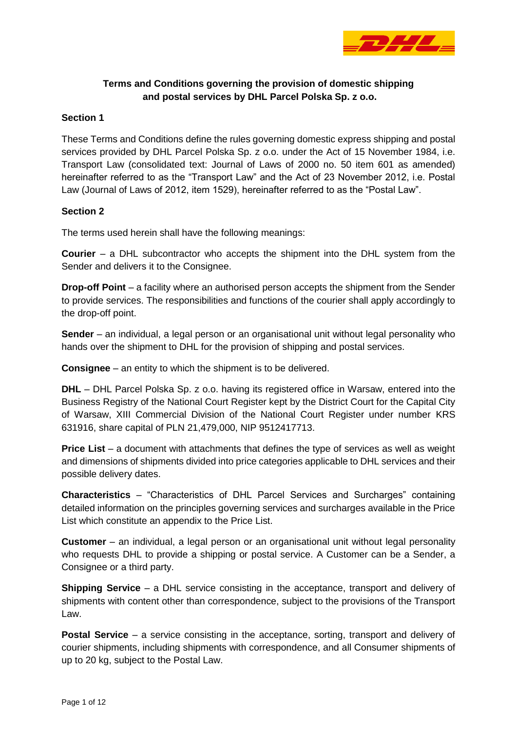

# **Terms and Conditions governing the provision of domestic shipping and postal services by DHL Parcel Polska Sp. z o.o.**

#### **Section 1**

These Terms and Conditions define the rules governing domestic express shipping and postal services provided by DHL Parcel Polska Sp. z o.o. under the Act of 15 November 1984, i.e. Transport Law (consolidated text: Journal of Laws of 2000 no. 50 item 601 as amended) hereinafter referred to as the "Transport Law" and the Act of 23 November 2012, i.e. Postal Law (Journal of Laws of 2012, item 1529), hereinafter referred to as the "Postal Law".

#### **Section 2**

The terms used herein shall have the following meanings:

**Courier** – a DHL subcontractor who accepts the shipment into the DHL system from the Sender and delivers it to the Consignee.

**Drop-off Point** – a facility where an authorised person accepts the shipment from the Sender to provide services. The responsibilities and functions of the courier shall apply accordingly to the drop-off point.

**Sender** – an individual, a legal person or an organisational unit without legal personality who hands over the shipment to DHL for the provision of shipping and postal services.

**Consignee** – an entity to which the shipment is to be delivered.

**DHL** – DHL Parcel Polska Sp. z o.o. having its registered office in Warsaw, entered into the Business Registry of the National Court Register kept by the District Court for the Capital City of Warsaw, XIII Commercial Division of the National Court Register under number KRS 631916, share capital of PLN 21,479,000, NIP 9512417713.

**Price List** – a document with attachments that defines the type of services as well as weight and dimensions of shipments divided into price categories applicable to DHL services and their possible delivery dates.

**Characteristics** – "Characteristics of DHL Parcel Services and Surcharges" containing detailed information on the principles governing services and surcharges available in the Price List which constitute an appendix to the Price List.

**Customer** – an individual, a legal person or an organisational unit without legal personality who requests DHL to provide a shipping or postal service. A Customer can be a Sender, a Consignee or a third party.

**Shipping Service** – a DHL service consisting in the acceptance, transport and delivery of shipments with content other than correspondence, subject to the provisions of the Transport Law.

**Postal Service** – a service consisting in the acceptance, sorting, transport and delivery of courier shipments, including shipments with correspondence, and all Consumer shipments of up to 20 kg, subject to the Postal Law.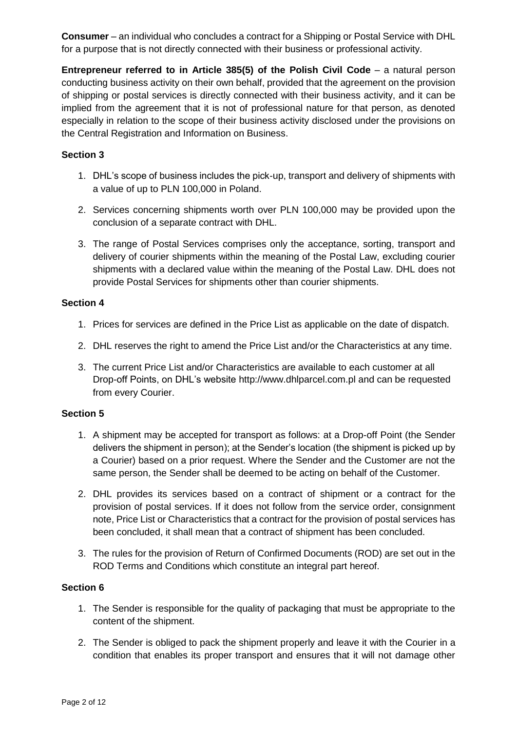**Consumer** – an individual who concludes a contract for a Shipping or Postal Service with DHL for a purpose that is not directly connected with their business or professional activity.

**Entrepreneur referred to in Article 385(5) of the Polish Civil Code** – a natural person conducting business activity on their own behalf, provided that the agreement on the provision of shipping or postal services is directly connected with their business activity, and it can be implied from the agreement that it is not of professional nature for that person, as denoted especially in relation to the scope of their business activity disclosed under the provisions on the Central Registration and Information on Business.

# **Section 3**

- 1. DHL's scope of business includes the pick-up, transport and delivery of shipments with a value of up to PLN 100,000 in Poland.
- 2. Services concerning shipments worth over PLN 100,000 may be provided upon the conclusion of a separate contract with DHL.
- 3. The range of Postal Services comprises only the acceptance, sorting, transport and delivery of courier shipments within the meaning of the Postal Law, excluding courier shipments with a declared value within the meaning of the Postal Law. DHL does not provide Postal Services for shipments other than courier shipments.

## **Section 4**

- 1. Prices for services are defined in the Price List as applicable on the date of dispatch.
- 2. DHL reserves the right to amend the Price List and/or the Characteristics at any time.
- 3. The current Price List and/or Characteristics are available to each customer at all Drop-off Points, on DHL's website [http://www.dhlparcel.com.pl](http://www.dhlparcel.com.pl/) and can be requested from every Courier.

#### **Section 5**

- 1. A shipment may be accepted for transport as follows: at a Drop-off Point (the Sender delivers the shipment in person); at the Sender's location (the shipment is picked up by a Courier) based on a prior request. Where the Sender and the Customer are not the same person, the Sender shall be deemed to be acting on behalf of the Customer.
- 2. DHL provides its services based on a contract of shipment or a contract for the provision of postal services. If it does not follow from the service order, consignment note, Price List or Characteristics that a contract for the provision of postal services has been concluded, it shall mean that a contract of shipment has been concluded.
- 3. The rules for the provision of Return of Confirmed Documents (ROD) are set out in the ROD Terms and Conditions which constitute an integral part hereof.

- 1. The Sender is responsible for the quality of packaging that must be appropriate to the content of the shipment.
- 2. The Sender is obliged to pack the shipment properly and leave it with the Courier in a condition that enables its proper transport and ensures that it will not damage other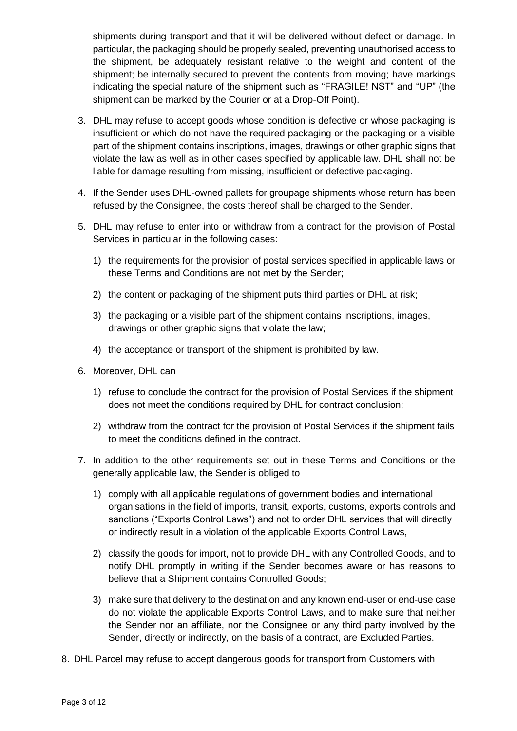shipments during transport and that it will be delivered without defect or damage. In particular, the packaging should be properly sealed, preventing unauthorised access to the shipment, be adequately resistant relative to the weight and content of the shipment; be internally secured to prevent the contents from moving; have markings indicating the special nature of the shipment such as "FRAGILE! NST" and "UP" (the shipment can be marked by the Courier or at a Drop-Off Point).

- 3. DHL may refuse to accept goods whose condition is defective or whose packaging is insufficient or which do not have the required packaging or the packaging or a visible part of the shipment contains inscriptions, images, drawings or other graphic signs that violate the law as well as in other cases specified by applicable law. DHL shall not be liable for damage resulting from missing, insufficient or defective packaging.
- 4. If the Sender uses DHL-owned pallets for groupage shipments whose return has been refused by the Consignee, the costs thereof shall be charged to the Sender.
- 5. DHL may refuse to enter into or withdraw from a contract for the provision of Postal Services in particular in the following cases:
	- 1) the requirements for the provision of postal services specified in applicable laws or these Terms and Conditions are not met by the Sender;
	- 2) the content or packaging of the shipment puts third parties or DHL at risk;
	- 3) the packaging or a visible part of the shipment contains inscriptions, images, drawings or other graphic signs that violate the law;
	- 4) the acceptance or transport of the shipment is prohibited by law.
- 6. Moreover, DHL can
	- 1) refuse to conclude the contract for the provision of Postal Services if the shipment does not meet the conditions required by DHL for contract conclusion;
	- 2) withdraw from the contract for the provision of Postal Services if the shipment fails to meet the conditions defined in the contract.
- 7. In addition to the other requirements set out in these Terms and Conditions or the generally applicable law, the Sender is obliged to
	- 1) comply with all applicable regulations of government bodies and international organisations in the field of imports, transit, exports, customs, exports controls and sanctions ("Exports Control Laws") and not to order DHL services that will directly or indirectly result in a violation of the applicable Exports Control Laws,
	- 2) classify the goods for import, not to provide DHL with any Controlled Goods, and to notify DHL promptly in writing if the Sender becomes aware or has reasons to believe that a Shipment contains Controlled Goods;
	- 3) make sure that delivery to the destination and any known end-user or end-use case do not violate the applicable Exports Control Laws, and to make sure that neither the Sender nor an affiliate, nor the Consignee or any third party involved by the Sender, directly or indirectly, on the basis of a contract, are Excluded Parties.
- 8. DHL Parcel may refuse to accept dangerous goods for transport from Customers with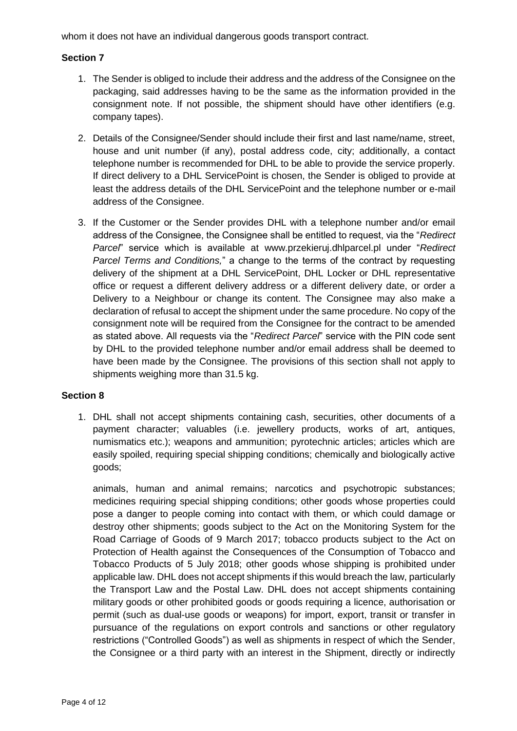whom it does not have an individual dangerous goods transport contract.

# **Section 7**

- 1. The Sender is obliged to include their address and the address of the Consignee on the packaging, said addresses having to be the same as the information provided in the consignment note. If not possible, the shipment should have other identifiers (e.g. company tapes).
- 2. Details of the Consignee/Sender should include their first and last name/name, street, house and unit number (if any), postal address code, city; additionally, a contact telephone number is recommended for DHL to be able to provide the service properly. If direct delivery to a DHL ServicePoint is chosen, the Sender is obliged to provide at least the address details of the DHL ServicePoint and the telephone number or e-mail address of the Consignee.
- 3. If the Customer or the Sender provides DHL with a telephone number and/or email address of the Consignee, the Consignee shall be entitled to request, via the "*Redirect Parcel*" service which is available at [www.przekieruj.dhlparcel.pl](http://www.przekieruj.dhlparcel.pl/) under "*Redirect Parcel Terms and Conditions,*" a change to the terms of the contract by requesting delivery of the shipment at a DHL ServicePoint, DHL Locker or DHL representative office or request a different delivery address or a different delivery date, or order a Delivery to a Neighbour or change its content. The Consignee may also make a declaration of refusal to accept the shipment under the same procedure. No copy of the consignment note will be required from the Consignee for the contract to be amended as stated above. All requests via the "*Redirect Parcel*" service with the PIN code sent by DHL to the provided telephone number and/or email address shall be deemed to have been made by the Consignee. The provisions of this section shall not apply to shipments weighing more than 31.5 kg.

#### **Section 8**

1. DHL shall not accept shipments containing cash, securities, other documents of a payment character; valuables (i.e. jewellery products, works of art, antiques, numismatics etc.); weapons and ammunition; pyrotechnic articles; articles which are easily spoiled, requiring special shipping conditions; chemically and biologically active goods;

animals, human and animal remains; narcotics and psychotropic substances; medicines requiring special shipping conditions; other goods whose properties could pose a danger to people coming into contact with them, or which could damage or destroy other shipments; goods subject to the Act on the Monitoring System for the Road Carriage of Goods of 9 March 2017; tobacco products subject to the Act on Protection of Health against the Consequences of the Consumption of Tobacco and Tobacco Products of 5 July 2018; other goods whose shipping is prohibited under applicable law. DHL does not accept shipments if this would breach the law, particularly the Transport Law and the Postal Law. DHL does not accept shipments containing military goods or other prohibited goods or goods requiring a licence, authorisation or permit (such as dual-use goods or weapons) for import, export, transit or transfer in pursuance of the regulations on export controls and sanctions or other regulatory restrictions ("Controlled Goods") as well as shipments in respect of which the Sender, the Consignee or a third party with an interest in the Shipment, directly or indirectly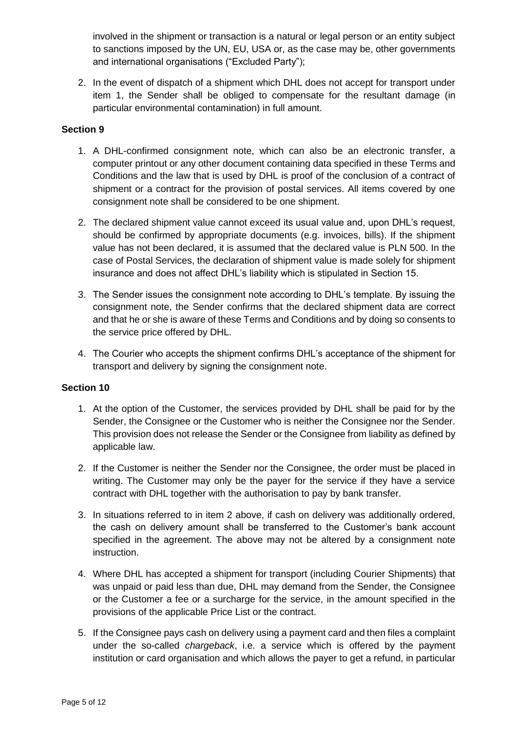involved in the shipment or transaction is a natural or legal person or an entity subject to sanctions imposed by the UN, EU, USA or, as the case may be, other governments and international organisations ("Excluded Party");

2. In the event of dispatch of a shipment which DHL does not accept for transport under item 1, the Sender shall be obliged to compensate for the resultant damage (in particular environmental contamination) in full amount.

## **Section 9**

- 1. A DHL-confirmed consignment note, which can also be an electronic transfer, a computer printout or any other document containing data specified in these Terms and Conditions and the law that is used by DHL is proof of the conclusion of a contract of shipment or a contract for the provision of postal services. All items covered by one consignment note shall be considered to be one shipment.
- 2. The declared shipment value cannot exceed its usual value and, upon DHL's request, should be confirmed by appropriate documents (e.g. invoices, bills). If the shipment value has not been declared, it is assumed that the declared value is PLN 500. In the case of Postal Services, the declaration of shipment value is made solely for shipment insurance and does not affect DHL's liability which is stipulated in Section 15.
- 3. The Sender issues the consignment note according to DHL's template. By issuing the consignment note, the Sender confirms that the declared shipment data are correct and that he or she is aware of these Terms and Conditions and by doing so consents to the service price offered by DHL.
- 4. The Courier who accepts the shipment confirms DHL's acceptance of the shipment for transport and delivery by signing the consignment note.

- 1. At the option of the Customer, the services provided by DHL shall be paid for by the Sender, the Consignee or the Customer who is neither the Consignee nor the Sender. This provision does not release the Sender or the Consignee from liability as defined by applicable law.
- 2. If the Customer is neither the Sender nor the Consignee, the order must be placed in writing. The Customer may only be the payer for the service if they have a service contract with DHL together with the authorisation to pay by bank transfer.
- 3. In situations referred to in item 2 above, if cash on delivery was additionally ordered, the cash on delivery amount shall be transferred to the Customer's bank account specified in the agreement. The above may not be altered by a consignment note instruction.
- 4. Where DHL has accepted a shipment for transport (including Courier Shipments) that was unpaid or paid less than due, DHL may demand from the Sender, the Consignee or the Customer a fee or a surcharge for the service, in the amount specified in the provisions of the applicable Price List or the contract.
- 5. If the Consignee pays cash on delivery using a payment card and then files a complaint under the so-called *chargeback*, i.e. a service which is offered by the payment institution or card organisation and which allows the payer to get a refund, in particular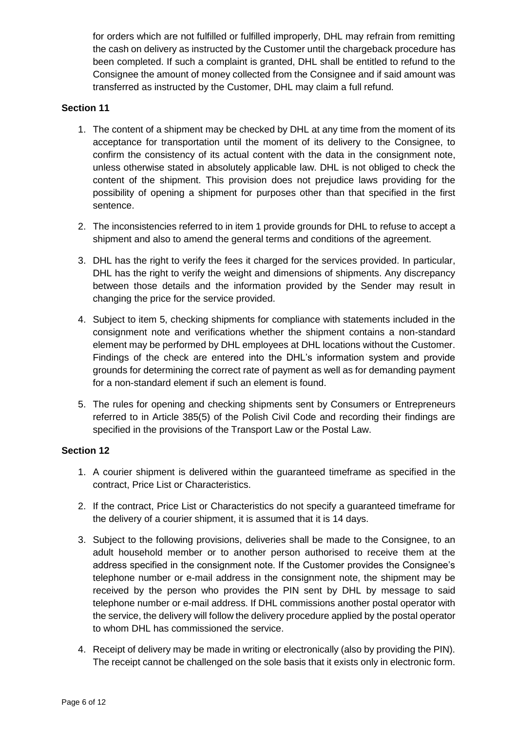for orders which are not fulfilled or fulfilled improperly, DHL may refrain from remitting the cash on delivery as instructed by the Customer until the chargeback procedure has been completed. If such a complaint is granted, DHL shall be entitled to refund to the Consignee the amount of money collected from the Consignee and if said amount was transferred as instructed by the Customer, DHL may claim a full refund.

## **Section 11**

- 1. The content of a shipment may be checked by DHL at any time from the moment of its acceptance for transportation until the moment of its delivery to the Consignee, to confirm the consistency of its actual content with the data in the consignment note, unless otherwise stated in absolutely applicable law. DHL is not obliged to check the content of the shipment. This provision does not prejudice laws providing for the possibility of opening a shipment for purposes other than that specified in the first sentence.
- 2. The inconsistencies referred to in item 1 provide grounds for DHL to refuse to accept a shipment and also to amend the general terms and conditions of the agreement.
- 3. DHL has the right to verify the fees it charged for the services provided. In particular, DHL has the right to verify the weight and dimensions of shipments. Any discrepancy between those details and the information provided by the Sender may result in changing the price for the service provided.
- 4. Subject to item 5, checking shipments for compliance with statements included in the consignment note and verifications whether the shipment contains a non-standard element may be performed by DHL employees at DHL locations without the Customer. Findings of the check are entered into the DHL's information system and provide grounds for determining the correct rate of payment as well as for demanding payment for a non-standard element if such an element is found.
- 5. The rules for opening and checking shipments sent by Consumers or Entrepreneurs referred to in Article 385(5) of the Polish Civil Code and recording their findings are specified in the provisions of the Transport Law or the Postal Law.

- 1. A courier shipment is delivered within the guaranteed timeframe as specified in the contract, Price List or Characteristics.
- 2. If the contract, Price List or Characteristics do not specify a guaranteed timeframe for the delivery of a courier shipment, it is assumed that it is 14 days.
- 3. Subject to the following provisions, deliveries shall be made to the Consignee, to an adult household member or to another person authorised to receive them at the address specified in the consignment note. If the Customer provides the Consignee's telephone number or e-mail address in the consignment note, the shipment may be received by the person who provides the PIN sent by DHL by message to said telephone number or e-mail address. If DHL commissions another postal operator with the service, the delivery will follow the delivery procedure applied by the postal operator to whom DHL has commissioned the service.
- 4. Receipt of delivery may be made in writing or electronically (also by providing the PIN). The receipt cannot be challenged on the sole basis that it exists only in electronic form.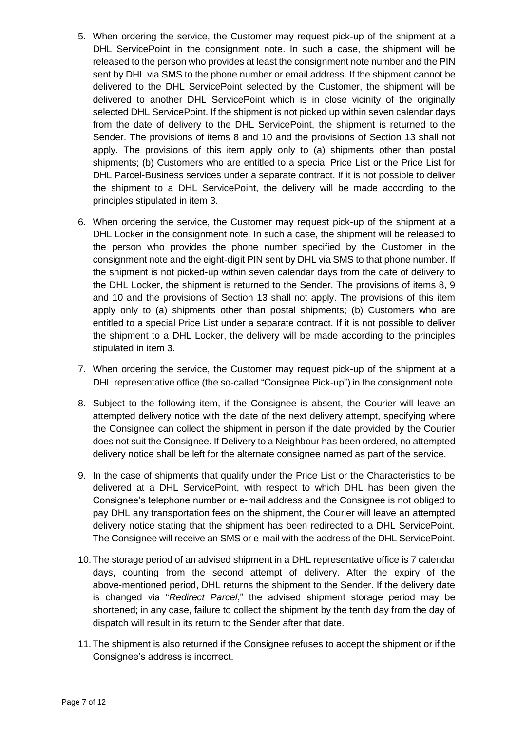- 5. When ordering the service, the Customer may request pick-up of the shipment at a DHL ServicePoint in the consignment note. In such a case, the shipment will be released to the person who provides at least the consignment note number and the PIN sent by DHL via SMS to the phone number or email address. If the shipment cannot be delivered to the DHL ServicePoint selected by the Customer, the shipment will be delivered to another DHL ServicePoint which is in close vicinity of the originally selected DHL ServicePoint. If the shipment is not picked up within seven calendar days from the date of delivery to the DHL ServicePoint, the shipment is returned to the Sender. The provisions of items 8 and 10 and the provisions of Section 13 shall not apply. The provisions of this item apply only to (a) shipments other than postal shipments; (b) Customers who are entitled to a special Price List or the Price List for DHL Parcel-Business services under a separate contract. If it is not possible to deliver the shipment to a DHL ServicePoint, the delivery will be made according to the principles stipulated in item 3.
- 6. When ordering the service, the Customer may request pick-up of the shipment at a DHL Locker in the consignment note. In such a case, the shipment will be released to the person who provides the phone number specified by the Customer in the consignment note and the eight-digit PIN sent by DHL via SMS to that phone number. If the shipment is not picked-up within seven calendar days from the date of delivery to the DHL Locker, the shipment is returned to the Sender. The provisions of items 8, 9 and 10 and the provisions of Section 13 shall not apply. The provisions of this item apply only to (a) shipments other than postal shipments; (b) Customers who are entitled to a special Price List under a separate contract. If it is not possible to deliver the shipment to a DHL Locker, the delivery will be made according to the principles stipulated in item 3.
- 7. When ordering the service, the Customer may request pick-up of the shipment at a DHL representative office (the so-called "Consignee Pick-up") in the consignment note.
- 8. Subject to the following item, if the Consignee is absent, the Courier will leave an attempted delivery notice with the date of the next delivery attempt, specifying where the Consignee can collect the shipment in person if the date provided by the Courier does not suit the Consignee. If Delivery to a Neighbour has been ordered, no attempted delivery notice shall be left for the alternate consignee named as part of the service.
- 9. In the case of shipments that qualify under the Price List or the Characteristics to be delivered at a DHL ServicePoint, with respect to which DHL has been given the Consignee's telephone number or e-mail address and the Consignee is not obliged to pay DHL any transportation fees on the shipment, the Courier will leave an attempted delivery notice stating that the shipment has been redirected to a DHL ServicePoint. The Consignee will receive an SMS or e-mail with the address of the DHL ServicePoint.
- 10. The storage period of an advised shipment in a DHL representative office is 7 calendar days, counting from the second attempt of delivery. After the expiry of the above-mentioned period, DHL returns the shipment to the Sender. If the delivery date is changed via "*Redirect Parcel*," the advised shipment storage period may be shortened; in any case, failure to collect the shipment by the tenth day from the day of dispatch will result in its return to the Sender after that date.
- 11. The shipment is also returned if the Consignee refuses to accept the shipment or if the Consignee's address is incorrect.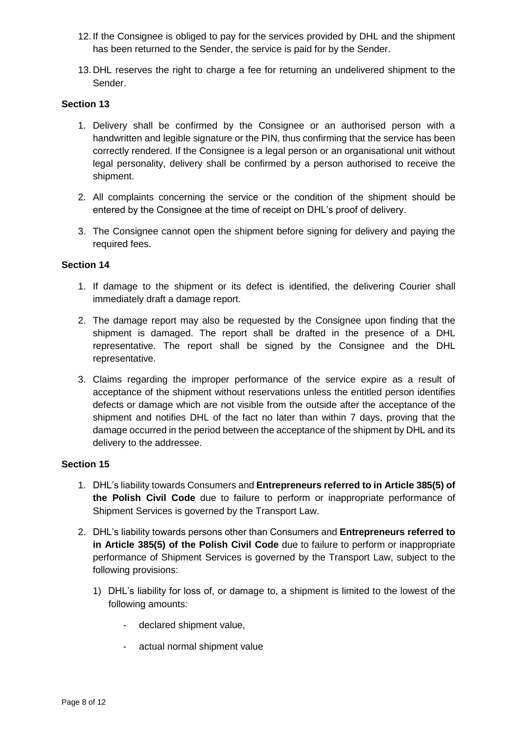- 12. If the Consignee is obliged to pay for the services provided by DHL and the shipment has been returned to the Sender, the service is paid for by the Sender.
- 13. DHL reserves the right to charge a fee for returning an undelivered shipment to the Sender.

## **Section 13**

- 1. Delivery shall be confirmed by the Consignee or an authorised person with a handwritten and legible signature or the PIN, thus confirming that the service has been correctly rendered. If the Consignee is a legal person or an organisational unit without legal personality, delivery shall be confirmed by a person authorised to receive the shipment.
- 2. All complaints concerning the service or the condition of the shipment should be entered by the Consignee at the time of receipt on DHL's proof of delivery.
- 3. The Consignee cannot open the shipment before signing for delivery and paying the required fees.

## **Section 14**

- 1. If damage to the shipment or its defect is identified, the delivering Courier shall immediately draft a damage report.
- 2. The damage report may also be requested by the Consignee upon finding that the shipment is damaged. The report shall be drafted in the presence of a DHL representative. The report shall be signed by the Consignee and the DHL representative.
- 3. Claims regarding the improper performance of the service expire as a result of acceptance of the shipment without reservations unless the entitled person identifies defects or damage which are not visible from the outside after the acceptance of the shipment and notifies DHL of the fact no later than within 7 days, proving that the damage occurred in the period between the acceptance of the shipment by DHL and its delivery to the addressee.

- 1. DHL's liability towards Consumers and **Entrepreneurs referred to in Article 385(5) of the Polish Civil Code** due to failure to perform or inappropriate performance of Shipment Services is governed by the Transport Law.
- 2. DHL's liability towards persons other than Consumers and **Entrepreneurs referred to in Article 385(5) of the Polish Civil Code** due to failure to perform or inappropriate performance of Shipment Services is governed by the Transport Law, subject to the following provisions:
	- 1) DHL's liability for loss of, or damage to, a shipment is limited to the lowest of the following amounts:
		- declared shipment value,
		- actual normal shipment value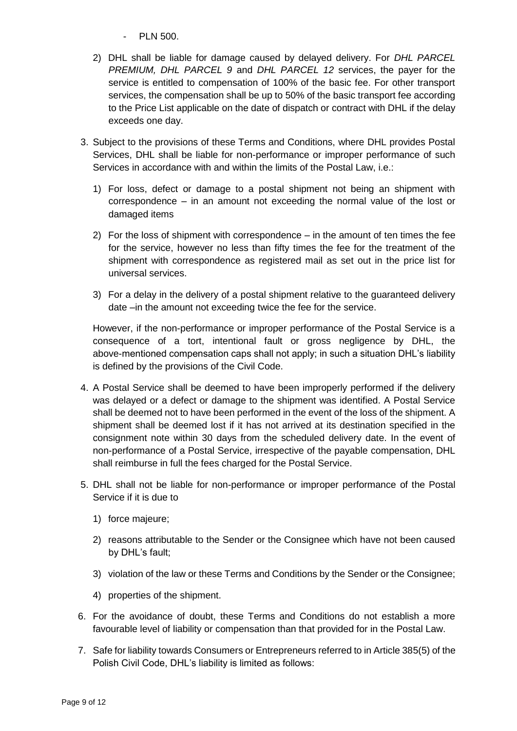- PLN 500.
- 2) DHL shall be liable for damage caused by delayed delivery. For *DHL PARCEL PREMIUM, DHL PARCEL 9* and *DHL PARCEL 12* services, the payer for the service is entitled to compensation of 100% of the basic fee. For other transport services, the compensation shall be up to 50% of the basic transport fee according to the Price List applicable on the date of dispatch or contract with DHL if the delay exceeds one day.
- 3. Subject to the provisions of these Terms and Conditions, where DHL provides Postal Services, DHL shall be liable for non-performance or improper performance of such Services in accordance with and within the limits of the Postal Law, i.e.:
	- 1) For loss, defect or damage to a postal shipment not being an shipment with correspondence – in an amount not exceeding the normal value of the lost or damaged items
	- 2) For the loss of shipment with correspondence in the amount of ten times the fee for the service, however no less than fifty times the fee for the treatment of the shipment with correspondence as registered mail as set out in the price list for universal services.
	- 3) For a delay in the delivery of a postal shipment relative to the guaranteed delivery date –in the amount not exceeding twice the fee for the service.

However, if the non-performance or improper performance of the Postal Service is a consequence of a tort, intentional fault or gross negligence by DHL, the above-mentioned compensation caps shall not apply; in such a situation DHL's liability is defined by the provisions of the Civil Code.

- 4. A Postal Service shall be deemed to have been improperly performed if the delivery was delayed or a defect or damage to the shipment was identified. A Postal Service shall be deemed not to have been performed in the event of the loss of the shipment. A shipment shall be deemed lost if it has not arrived at its destination specified in the consignment note within 30 days from the scheduled delivery date. In the event of non-performance of a Postal Service, irrespective of the payable compensation, DHL shall reimburse in full the fees charged for the Postal Service.
- 5. DHL shall not be liable for non-performance or improper performance of the Postal Service if it is due to
	- 1) force majeure;
	- 2) reasons attributable to the Sender or the Consignee which have not been caused by DHL's fault;
	- 3) violation of the law or these Terms and Conditions by the Sender or the Consignee;
	- 4) properties of the shipment.
- 6. For the avoidance of doubt, these Terms and Conditions do not establish a more favourable level of liability or compensation than that provided for in the Postal Law.
- 7. Safe for liability towards Consumers or Entrepreneurs referred to in Article 385(5) of the Polish Civil Code, DHL's liability is limited as follows: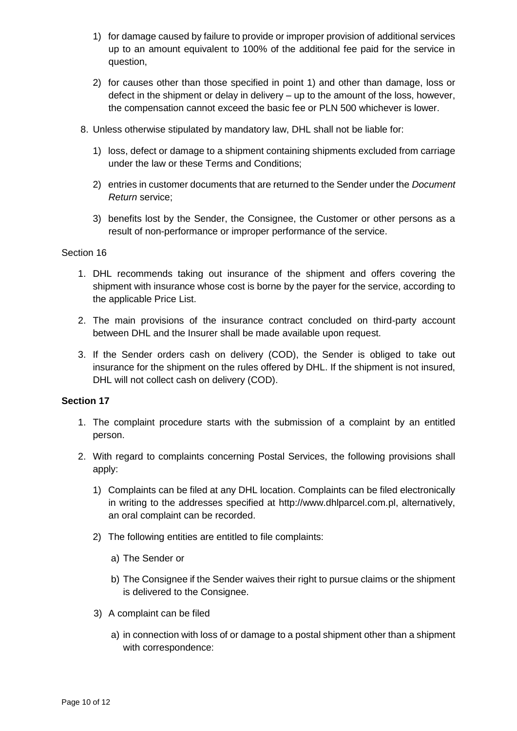- 1) for damage caused by failure to provide or improper provision of additional services up to an amount equivalent to 100% of the additional fee paid for the service in question,
- 2) for causes other than those specified in point 1) and other than damage, loss or defect in the shipment or delay in delivery – up to the amount of the loss, however, the compensation cannot exceed the basic fee or PLN 500 whichever is lower.
- 8. Unless otherwise stipulated by mandatory law, DHL shall not be liable for:
	- 1) loss, defect or damage to a shipment containing shipments excluded from carriage under the law or these Terms and Conditions;
	- 2) entries in customer documents that are returned to the Sender under the *Document Return* service;
	- 3) benefits lost by the Sender, the Consignee, the Customer or other persons as a result of non-performance or improper performance of the service.

## Section 16

- 1. DHL recommends taking out insurance of the shipment and offers covering the shipment with insurance whose cost is borne by the payer for the service, according to the applicable Price List.
- 2. The main provisions of the insurance contract concluded on third-party account between DHL and the Insurer shall be made available upon request.
- 3. If the Sender orders cash on delivery (COD), the Sender is obliged to take out insurance for the shipment on the rules offered by DHL. If the shipment is not insured, DHL will not collect cash on delivery (COD).

- 1. The complaint procedure starts with the submission of a complaint by an entitled person.
- 2. With regard to complaints concerning Postal Services, the following provisions shall apply:
	- 1) Complaints can be filed at any DHL location. Complaints can be filed electronically in writing to the addresses specified at [http://www.dhlparcel.com.pl,](http://www.dhlparcel.com.pl/) alternatively, an oral complaint can be recorded.
	- 2) The following entities are entitled to file complaints:
		- a) The Sender or
		- b) The Consignee if the Sender waives their right to pursue claims or the shipment is delivered to the Consignee.
	- 3) A complaint can be filed
		- a) in connection with loss of or damage to a postal shipment other than a shipment with correspondence: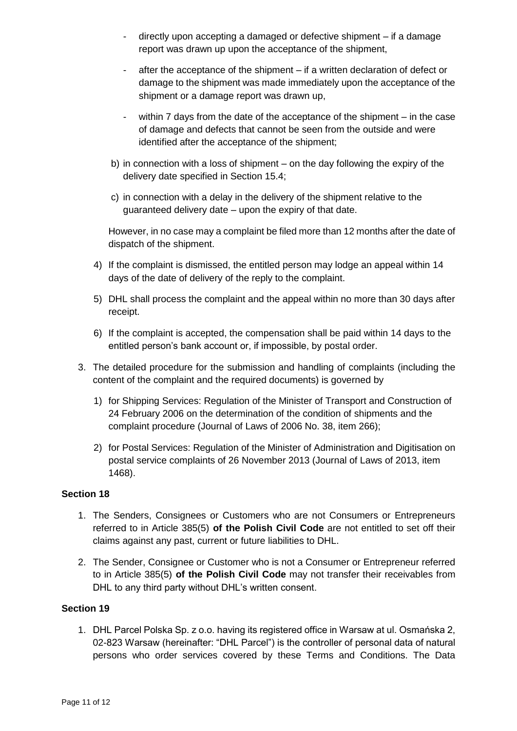- directly upon accepting a damaged or defective shipment if a damage report was drawn up upon the acceptance of the shipment,
- after the acceptance of the shipment if a written declaration of defect or damage to the shipment was made immediately upon the acceptance of the shipment or a damage report was drawn up,
- within 7 days from the date of the acceptance of the shipment in the case of damage and defects that cannot be seen from the outside and were identified after the acceptance of the shipment;
- b) in connection with a loss of shipment on the day following the expiry of the delivery date specified in Section 15.4;
- c) in connection with a delay in the delivery of the shipment relative to the guaranteed delivery date – upon the expiry of that date.

However, in no case may a complaint be filed more than 12 months after the date of dispatch of the shipment.

- 4) If the complaint is dismissed, the entitled person may lodge an appeal within 14 days of the date of delivery of the reply to the complaint.
- 5) DHL shall process the complaint and the appeal within no more than 30 days after receipt.
- 6) If the complaint is accepted, the compensation shall be paid within 14 days to the entitled person's bank account or, if impossible, by postal order.
- 3. The detailed procedure for the submission and handling of complaints (including the content of the complaint and the required documents) is governed by
	- 1) for Shipping Services: Regulation of the Minister of Transport and Construction of 24 February 2006 on the determination of the condition of shipments and the complaint procedure (Journal of Laws of 2006 No. 38, item 266);
	- 2) for Postal Services: Regulation of the Minister of Administration and Digitisation on postal service complaints of 26 November 2013 (Journal of Laws of 2013, item 1468).

# **Section 18**

- 1. The Senders, Consignees or Customers who are not Consumers or Entrepreneurs referred to in Article 385(5) **of the Polish Civil Code** are not entitled to set off their claims against any past, current or future liabilities to DHL.
- 2. The Sender, Consignee or Customer who is not a Consumer or Entrepreneur referred to in Article 385(5) **of the Polish Civil Code** may not transfer their receivables from DHL to any third party without DHL's written consent.

## **Section 19**

1. DHL Parcel Polska Sp. z o.o. having its registered office in Warsaw at ul. Osmańska 2, 02-823 Warsaw (hereinafter: "DHL Parcel") is the controller of personal data of natural persons who order services covered by these Terms and Conditions. The Data